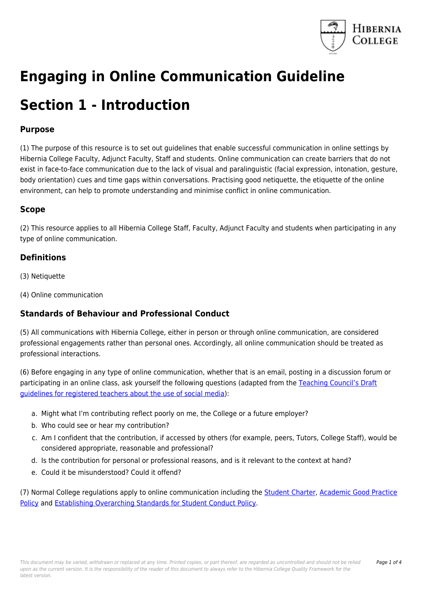

# **Engaging in Online Communication Guideline**

### **Section 1 - Introduction**

### **Purpose**

(1) The purpose of this resource is to set out guidelines that enable successful communication in online settings by Hibernia College Faculty, Adjunct Faculty, Staff and students. Online communication can create barriers that do not exist in face-to-face communication due to the lack of visual and paralinguistic (facial expression, intonation, gesture, body orientation) cues and time gaps within conversations. Practising good netiquette, the etiquette of the online environment, can help to promote understanding and minimise conflict in online communication.

### **Scope**

(2) This resource applies to all Hibernia College Staff, Faculty, Adjunct Faculty and students when participating in any type of online communication.

#### **Definitions**

- (3) Netiquette
- (4) Online communication

### **Standards of Behaviour and Professional Conduct**

(5) All communications with Hibernia College, either in person or through online communication, are considered professional engagements rather than personal ones. Accordingly, all online communication should be treated as professional interactions.

(6) Before engaging in any type of online communication, whether that is an email, posting in a discussion forum or participating in an online class, ask yourself the following questions (adapted from the [Teaching Council's Draft](https://www.teachingcouncil.ie/Website/en/Fitness-to-Teach/Consultation-Draft-Social-Media-Guidelines/Draft-Guidelines-for-Registered-Teachers-Social-Media.pdf) [guidelines for registered teachers about the use of social media\)](https://www.teachingcouncil.ie/Website/en/Fitness-to-Teach/Consultation-Draft-Social-Media-Guidelines/Draft-Guidelines-for-Registered-Teachers-Social-Media.pdf):

- a. Might what I'm contributing reflect poorly on me, the College or a future employer?
- b. Who could see or hear my contribution?
- c. Am I confident that the contribution, if accessed by others (for example, peers, Tutors, College Staff), would be considered appropriate, reasonable and professional?
- d. Is the contribution for personal or professional reasons, and is it relevant to the context at hand?
- e. Could it be misunderstood? Could it offend?

(7) Normal College regulations apply to online communication including the [Student Charter](https://qualityframework.hiberniacollege.com/document/view-current.php?id=76), [Academic Good Practice](https://qualityframework.hiberniacollege.com/document/view-current.php?id=12) [Policy](https://qualityframework.hiberniacollege.com/document/view-current.php?id=12) and [Establishing Overarching Standards for Student Conduct Policy](https://qualityframework.hiberniacollege.com/document/view-current.php?id=43).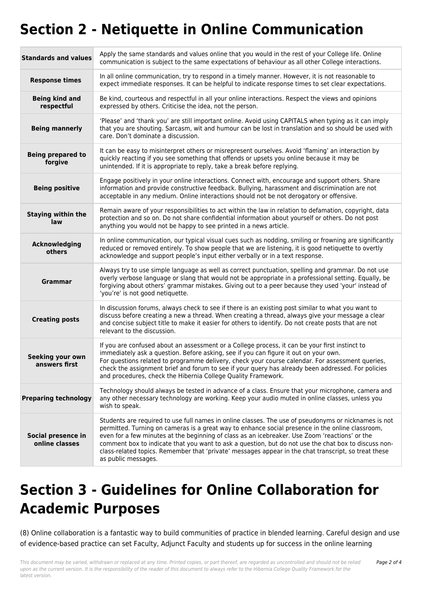## **Section 2 - Netiquette in Online Communication**

| <b>Standards and values</b>          | Apply the same standards and values online that you would in the rest of your College life. Online<br>communication is subject to the same expectations of behaviour as all other College interactions.                                                                                                                                                                                                                                                                                                                                           |  |
|--------------------------------------|---------------------------------------------------------------------------------------------------------------------------------------------------------------------------------------------------------------------------------------------------------------------------------------------------------------------------------------------------------------------------------------------------------------------------------------------------------------------------------------------------------------------------------------------------|--|
| <b>Response times</b>                | In all online communication, try to respond in a timely manner. However, it is not reasonable to<br>expect immediate responses. It can be helpful to indicate response times to set clear expectations.                                                                                                                                                                                                                                                                                                                                           |  |
| <b>Being kind and</b><br>respectful  | Be kind, courteous and respectful in all your online interactions. Respect the views and opinions<br>expressed by others. Criticise the idea, not the person.                                                                                                                                                                                                                                                                                                                                                                                     |  |
| <b>Being mannerly</b>                | 'Please' and 'thank you' are still important online. Avoid using CAPITALS when typing as it can imply<br>that you are shouting. Sarcasm, wit and humour can be lost in translation and so should be used with<br>care. Don't dominate a discussion.                                                                                                                                                                                                                                                                                               |  |
| <b>Being prepared to</b><br>forgive  | It can be easy to misinterpret others or misrepresent ourselves. Avoid 'flaming' an interaction by<br>quickly reacting if you see something that offends or upsets you online because it may be<br>unintended. If it is appropriate to reply, take a break before replying.                                                                                                                                                                                                                                                                       |  |
| <b>Being positive</b>                | Engage positively in your online interactions. Connect with, encourage and support others. Share<br>information and provide constructive feedback. Bullying, harassment and discrimination are not<br>acceptable in any medium. Online interactions should not be not derogatory or offensive.                                                                                                                                                                                                                                                    |  |
| <b>Staying within the</b><br>law     | Remain aware of your responsibilities to act within the law in relation to defamation, copyright, data<br>protection and so on. Do not share confidential information about yourself or others. Do not post<br>anything you would not be happy to see printed in a news article.                                                                                                                                                                                                                                                                  |  |
| Acknowledging<br>others              | In online communication, our typical visual cues such as nodding, smiling or frowning are significantly<br>reduced or removed entirely. To show people that we are listening, it is good netiquette to overtly<br>acknowledge and support people's input either verbally or in a text response.                                                                                                                                                                                                                                                   |  |
| Grammar                              | Always try to use simple language as well as correct punctuation, spelling and grammar. Do not use<br>overly verbose language or slang that would not be appropriate in a professional setting. Equally, be<br>forgiving about others' grammar mistakes. Giving out to a peer because they used 'your' instead of<br>'you're' is not good netiquette.                                                                                                                                                                                             |  |
| <b>Creating posts</b>                | In discussion forums, always check to see if there is an existing post similar to what you want to<br>discuss before creating a new a thread. When creating a thread, always give your message a clear<br>and concise subject title to make it easier for others to identify. Do not create posts that are not<br>relevant to the discussion.                                                                                                                                                                                                     |  |
| Seeking your own<br>answers nrst     | If you are confused about an assessment or a College process, it can be your first instinct to<br>immediately ask a question. Before asking, see if you can figure it out on your own.<br>For questions related to programme delivery, check your course calendar. For assessment queries,<br>check the assignment brief and forum to see if your query has already been addressed. For policies<br>and procedures, check the Hibernia College Quality Framework.                                                                                 |  |
| <b>Preparing technology</b>          | Technology should always be tested in advance of a class. Ensure that your microphone, camera and<br>any other necessary technology are working. Keep your audio muted in online classes, unless you<br>wish to speak.                                                                                                                                                                                                                                                                                                                            |  |
| Social presence in<br>online classes | Students are required to use full names in online classes. The use of pseudonyms or nicknames is not<br>permitted. Turning on cameras is a great way to enhance social presence in the online classroom,<br>even for a few minutes at the beginning of class as an icebreaker. Use Zoom 'reactions' or the<br>comment box to indicate that you want to ask a question, but do not use the chat box to discuss non-<br>class-related topics. Remember that 'private' messages appear in the chat transcript, so treat these<br>as public messages. |  |

## **Section 3 - Guidelines for Online Collaboration for Academic Purposes**

(8) Online collaboration is a fantastic way to build communities of practice in blended learning. Careful design and use of evidence-based practice can set Faculty, Adjunct Faculty and students up for success in the online learning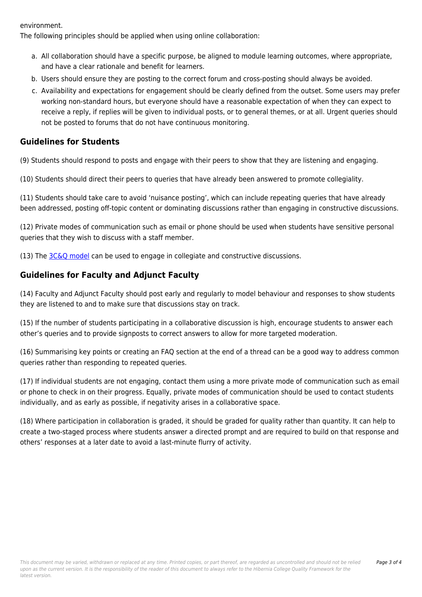environment.

The following principles should be applied when using online collaboration:

- a. All collaboration should have a specific purpose, be aligned to module learning outcomes, where appropriate, and have a clear rationale and benefit for learners.
- b. Users should ensure they are posting to the correct forum and cross-posting should always be avoided.
- c. Availability and expectations for engagement should be clearly defined from the outset. Some users may prefer working non-standard hours, but everyone should have a reasonable expectation of when they can expect to receive a reply, if replies will be given to individual posts, or to general themes, or at all. Urgent queries should not be posted to forums that do not have continuous monitoring.

#### **Guidelines for Students**

(9) Students should respond to posts and engage with their peers to show that they are listening and engaging.

(10) Students should direct their peers to queries that have already been answered to promote collegiality.

(11) Students should take care to avoid 'nuisance posting', which can include repeating queries that have already been addressed, posting off-topic content or dominating discussions rather than engaging in constructive discussions.

(12) Private modes of communication such as email or phone should be used when students have sensitive personal queries that they wish to discuss with a staff member.

(13) The [3C&Q model](https://transliteratelibrarians.weebly.com/uploads/3/7/4/2/37427333/publishing_sharing_and_commenting2.pdf) can be used to engage in collegiate and constructive discussions.

### **Guidelines for Faculty and Adjunct Faculty**

(14) Faculty and Adjunct Faculty should post early and regularly to model behaviour and responses to show students they are listened to and to make sure that discussions stay on track.

(15) If the number of students participating in a collaborative discussion is high, encourage students to answer each other's queries and to provide signposts to correct answers to allow for more targeted moderation.

(16) Summarising key points or creating an FAQ section at the end of a thread can be a good way to address common queries rather than responding to repeated queries.

(17) If individual students are not engaging, contact them using a more private mode of communication such as email or phone to check in on their progress. Equally, private modes of communication should be used to contact students individually, and as early as possible, if negativity arises in a collaborative space.

(18) Where participation in collaboration is graded, it should be graded for quality rather than quantity. It can help to create a two-staged process where students answer a directed prompt and are required to build on that response and others' responses at a later date to avoid a last-minute flurry of activity.